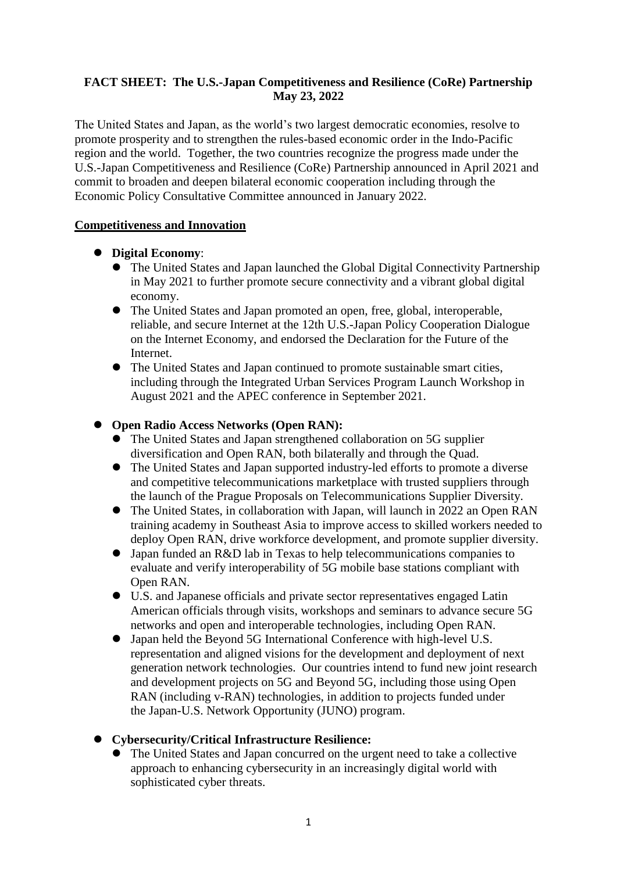### **FACT SHEET: The U.S.-Japan Competitiveness and Resilience (CoRe) Partnership May 23, 2022**

The United States and Japan, as the world's two largest democratic economies, resolve to promote prosperity and to strengthen the rules-based economic order in the Indo-Pacific region and the world. Together, the two countries recognize the progress made under the U.S.-Japan Competitiveness and Resilience (CoRe) Partnership announced in April 2021 and commit to broaden and deepen bilateral economic cooperation including through the Economic Policy Consultative Committee announced in January 2022.

### **Competitiveness and Innovation**

## **Digital Economy**:

- The United States and Japan launched the Global Digital Connectivity Partnership in May 2021 to further promote secure connectivity and a vibrant global digital economy.
- The United States and Japan promoted an open, free, global, interoperable, reliable, and secure Internet at the 12th U.S.-Japan Policy Cooperation Dialogue on the Internet Economy, and endorsed the Declaration for the Future of the **Internet**
- The United States and Japan continued to promote sustainable smart cities, including through the Integrated Urban Services Program Launch Workshop in August 2021 and the APEC conference in September 2021.

## **Open Radio Access Networks (Open RAN):**

- The United States and Japan strengthened collaboration on 5G supplier diversification and Open RAN, both bilaterally and through the Quad.
- The United States and Japan supported industry-led efforts to promote a diverse and competitive telecommunications marketplace with trusted suppliers through the launch of the Prague Proposals on Telecommunications Supplier Diversity.
- The United States, in collaboration with Japan, will launch in 2022 an Open RAN training academy in Southeast Asia to improve access to skilled workers needed to deploy Open RAN, drive workforce development, and promote supplier diversity.
- Japan funded an R&D lab in Texas to help telecommunications companies to evaluate and verify interoperability of 5G mobile base stations compliant with Open RAN.
- U.S. and Japanese officials and private sector representatives engaged Latin American officials through visits, workshops and seminars to advance secure 5G networks and open and interoperable technologies, including Open RAN.
- Japan held the Beyond 5G International Conference with high-level U.S. representation and aligned visions for the development and deployment of next generation network technologies. Our countries intend to fund new joint research and development projects on 5G and Beyond 5G, including those using Open RAN (including v-RAN) technologies, in addition to projects funded under the Japan-U.S. Network Opportunity (JUNO) program.

# **Cybersecurity/Critical Infrastructure Resilience:**

 The United States and Japan concurred on the urgent need to take a collective approach to enhancing cybersecurity in an increasingly digital world with sophisticated cyber threats.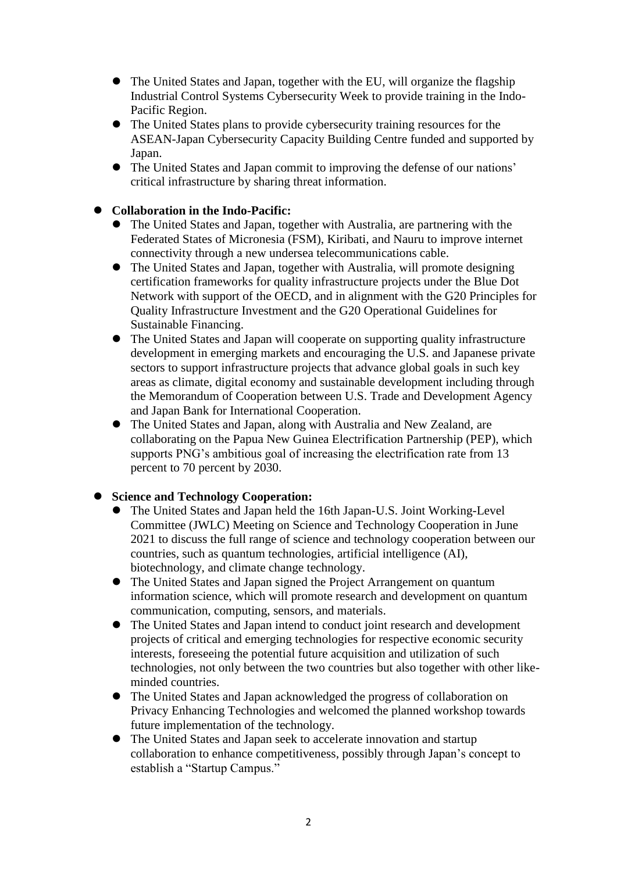- The United States and Japan, together with the EU, will organize the flagship Industrial Control Systems Cybersecurity Week to provide training in the Indo-Pacific Region.
- The United States plans to provide cybersecurity training resources for the ASEAN-Japan Cybersecurity Capacity Building Centre funded and supported by Japan.
- The United States and Japan commit to improving the defense of our nations' critical infrastructure by sharing threat information.

### **Collaboration in the Indo-Pacific:**

- The United States and Japan, together with Australia, are partnering with the Federated States of Micronesia (FSM), Kiribati, and Nauru to improve internet connectivity through a new undersea telecommunications cable.
- The United States and Japan, together with Australia, will promote designing certification frameworks for quality infrastructure projects under the Blue Dot Network with support of the OECD, and in alignment with the G20 Principles for Quality Infrastructure Investment and the G20 Operational Guidelines for Sustainable Financing.
- The United States and Japan will cooperate on supporting quality infrastructure development in emerging markets and encouraging the U.S. and Japanese private sectors to support infrastructure projects that advance global goals in such key areas as climate, digital economy and sustainable development including through the Memorandum of Cooperation between U.S. Trade and Development Agency and Japan Bank for International Cooperation.
- The United States and Japan, along with Australia and New Zealand, are collaborating on the Papua New Guinea Electrification Partnership (PEP), which supports PNG's ambitious goal of increasing the electrification rate from 13 percent to 70 percent by 2030.

# **Science and Technology Cooperation:**

- The United States and Japan held the 16th Japan-U.S. Joint Working-Level Committee (JWLC) Meeting on Science and Technology Cooperation in June 2021 to discuss the full range of science and technology cooperation between our countries, such as quantum technologies, artificial intelligence (AI), biotechnology, and climate change technology.
- The United States and Japan signed the Project Arrangement on quantum information science, which will promote research and development on quantum communication, computing, sensors, and materials.
- The United States and Japan intend to conduct joint research and development projects of critical and emerging technologies for respective economic security interests, foreseeing the potential future acquisition and utilization of such technologies, not only between the two countries but also together with other likeminded countries.
- The United States and Japan acknowledged the progress of collaboration on Privacy Enhancing Technologies and welcomed the planned workshop towards future implementation of the technology.
- The United States and Japan seek to accelerate innovation and startup collaboration to enhance competitiveness, possibly through Japan's concept to establish a "Startup Campus."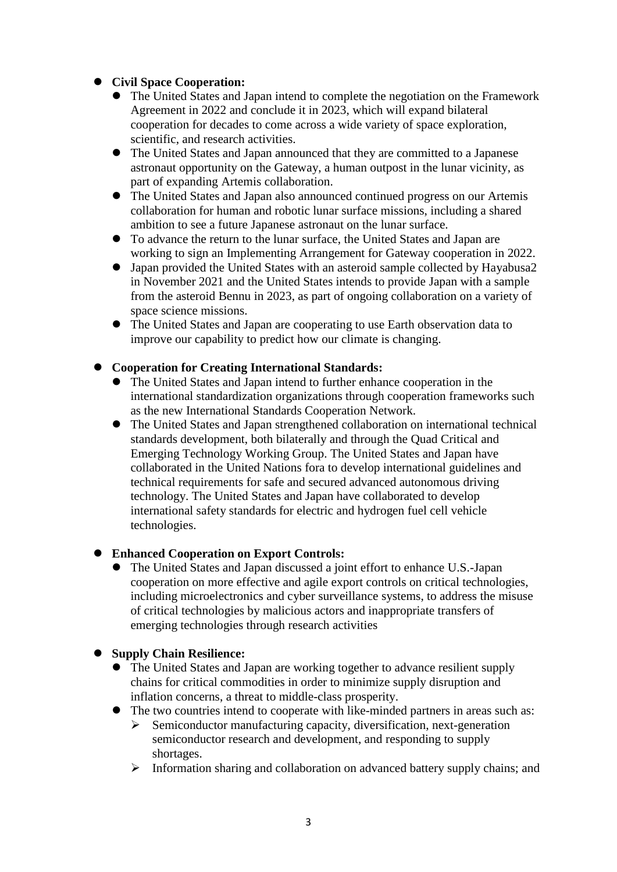# **Civil Space Cooperation:**

- The United States and Japan intend to complete the negotiation on the Framework Agreement in 2022 and conclude it in 2023, which will expand bilateral cooperation for decades to come across a wide variety of space exploration, scientific, and research activities.
- The United States and Japan announced that they are committed to a Japanese astronaut opportunity on the Gateway, a human outpost in the lunar vicinity, as part of expanding Artemis collaboration.
- The United States and Japan also announced continued progress on our Artemis collaboration for human and robotic lunar surface missions, including a shared ambition to see a future Japanese astronaut on the lunar surface.
- To advance the return to the lunar surface, the United States and Japan are working to sign an Implementing Arrangement for Gateway cooperation in 2022.
- Japan provided the United States with an asteroid sample collected by Hayabusa2 in November 2021 and the United States intends to provide Japan with a sample from the asteroid Bennu in 2023, as part of ongoing collaboration on a variety of space science missions.
- The United States and Japan are cooperating to use Earth observation data to improve our capability to predict how our climate is changing.

### **Cooperation for Creating International Standards:**

- The United States and Japan intend to further enhance cooperation in the international standardization organizations through cooperation frameworks such as the new International Standards Cooperation Network.
- The United States and Japan strengthened collaboration on international technical standards development, both bilaterally and through the Quad Critical and Emerging Technology Working Group. The United States and Japan have collaborated in the United Nations fora to develop international guidelines and technical requirements for safe and secured advanced autonomous driving technology. The United States and Japan have collaborated to develop international safety standards for electric and hydrogen fuel cell vehicle technologies.

### **Enhanced Cooperation on Export Controls:**

 The United States and Japan discussed a joint effort to enhance U.S.-Japan cooperation on more effective and agile export controls on critical technologies, including microelectronics and cyber surveillance systems, to address the misuse of critical technologies by malicious actors and inappropriate transfers of emerging technologies through research activities

### **Supply Chain Resilience:**

- The United States and Japan are working together to advance resilient supply chains for critical commodities in order to minimize supply disruption and inflation concerns, a threat to middle-class prosperity.
- The two countries intend to cooperate with like-minded partners in areas such as:  $\triangleright$  Semiconductor manufacturing capacity, diversification, next-generation
	- semiconductor research and development, and responding to supply shortages.
	- $\triangleright$  Information sharing and collaboration on advanced battery supply chains; and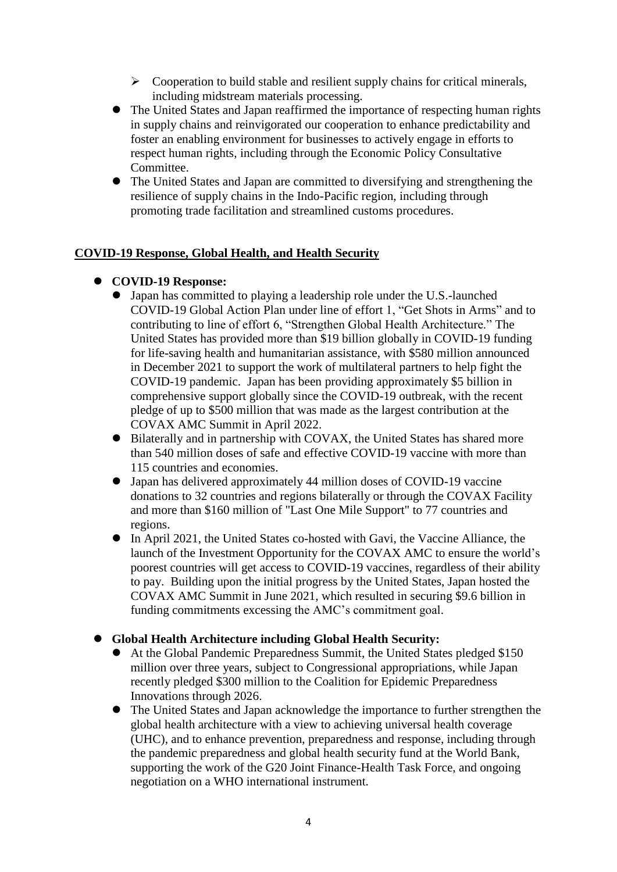- $\triangleright$  Cooperation to build stable and resilient supply chains for critical minerals, including midstream materials processing.
- The United States and Japan reaffirmed the importance of respecting human rights in supply chains and reinvigorated our cooperation to enhance predictability and foster an enabling environment for businesses to actively engage in efforts to respect human rights, including through the Economic Policy Consultative Committee.
- The United States and Japan are committed to diversifying and strengthening the resilience of supply chains in the Indo-Pacific region, including through promoting trade facilitation and streamlined customs procedures.

### **COVID-19 Response, Global Health, and Health Security**

### **COVID-19 Response:**

- Japan has committed to playing a leadership role under the U.S.-launched COVID-19 Global Action Plan under line of effort 1, "Get Shots in Arms" and to contributing to line of effort 6, "Strengthen Global Health Architecture." The United States has provided more than \$19 billion globally in COVID-19 funding for life-saving health and humanitarian assistance, with \$580 million announced in December 2021 to support the work of multilateral partners to help fight the COVID-19 pandemic. Japan has been providing approximately \$5 billion in comprehensive support globally since the COVID-19 outbreak, with the recent pledge of up to \$500 million that was made as the largest contribution at the COVAX AMC Summit in April 2022.
- Bilaterally and in partnership with COVAX, the United States has shared more than 540 million doses of safe and effective COVID-19 vaccine with more than 115 countries and economies.
- Japan has delivered approximately 44 million doses of COVID-19 vaccine donations to 32 countries and regions bilaterally or through the COVAX Facility and more than \$160 million of "Last One Mile Support" to 77 countries and regions.
- In April 2021, the United States co-hosted with Gavi, the Vaccine Alliance, the launch of the Investment Opportunity for the COVAX AMC to ensure the world's poorest countries will get access to COVID-19 vaccines, regardless of their ability to pay. Building upon the initial progress by the United States, Japan hosted the COVAX AMC Summit in June 2021, which resulted in securing \$9.6 billion in funding commitments excessing the AMC's commitment goal.

### **Global Health Architecture including Global Health Security:**

- At the Global Pandemic Preparedness Summit, the United States pledged \$150 million over three years, subject to Congressional appropriations, while Japan recently pledged \$300 million to the Coalition for Epidemic Preparedness Innovations through 2026.
- The United States and Japan acknowledge the importance to further strengthen the global health architecture with a view to achieving universal health coverage (UHC), and to enhance prevention, preparedness and response, including through the pandemic preparedness and global health security fund at the World Bank, supporting the work of the G20 Joint Finance-Health Task Force, and ongoing negotiation on a WHO international instrument.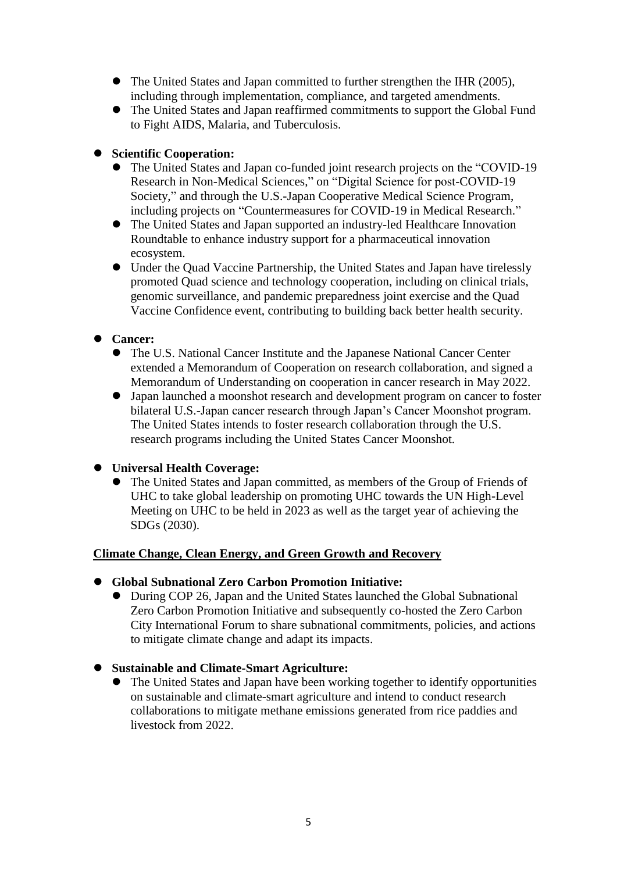- The United States and Japan committed to further strengthen the IHR (2005), including through implementation, compliance, and targeted amendments.
- The United States and Japan reaffirmed commitments to support the Global Fund to Fight AIDS, Malaria, and Tuberculosis.

# **Scientific Cooperation:**

- The United States and Japan co-funded joint research projects on the "COVID-19 Research in Non-Medical Sciences," on "Digital Science for post-COVID-19 Society," and through the U.S.-Japan Cooperative Medical Science Program, including projects on "Countermeasures for COVID-19 in Medical Research."
- The United States and Japan supported an industry-led Healthcare Innovation Roundtable to enhance industry support for a pharmaceutical innovation ecosystem.
- Under the Quad Vaccine Partnership, the United States and Japan have tirelessly promoted Quad science and technology cooperation, including on clinical trials, genomic surveillance, and pandemic preparedness joint exercise and the Quad Vaccine Confidence event, contributing to building back better health security.

## **Cancer:**

- The U.S. National Cancer Institute and the Japanese National Cancer Center extended a Memorandum of Cooperation on research collaboration, and signed a Memorandum of Understanding on cooperation in cancer research in May 2022.
- Japan launched a moonshot research and development program on cancer to foster bilateral U.S.-Japan cancer research through Japan's Cancer Moonshot program. The United States intends to foster research collaboration through the U.S. research programs including the United States Cancer Moonshot.

# **Universal Health Coverage:**

 The United States and Japan committed, as members of the Group of Friends of UHC to take global leadership on promoting UHC towards the UN High-Level Meeting on UHC to be held in 2023 as well as the target year of achieving the SDGs (2030).

### **Climate Change, Clean Energy, and Green Growth and Recovery**

- **Global Subnational Zero Carbon Promotion Initiative:**
	- During COP 26, Japan and the United States launched the Global Subnational Zero Carbon Promotion Initiative and subsequently co-hosted the Zero Carbon City International Forum to share subnational commitments, policies, and actions to mitigate climate change and adapt its impacts.
- **Sustainable and Climate-Smart Agriculture:** 
	- The United States and Japan have been working together to identify opportunities on sustainable and climate-smart agriculture and intend to conduct research collaborations to mitigate methane emissions generated from rice paddies and livestock from 2022.